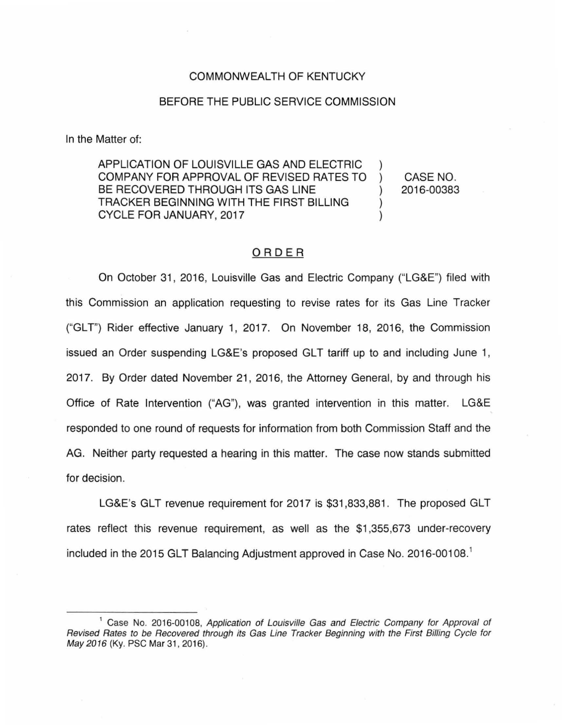#### COMMONWEALTH OF KENTUCKY

#### BEFORE THE PUBLIC SERVICE COMMISSION

In the Matter of:

APPLICATION OF LOUISVILLE GAS AND ELECTRIC COMPANY FOR APPROVAL OF REVISED RATES TO BE RECOVERED THROUGH ITS GAS LINE TRACKER BEGINNING WITH THE FIRST BILLING CYCLE FOR JANUARY, 2017

CASE NO. 2016-00383

### ORDER

On October 31, 2016, Louisville Gas and Electric Company ("LG&E") filed with this Commission an application requesting to revise rates for its Gas Line Tracker ("GLT") Rider effective January 1, 2017. On November 18, 2016, the Commission issued an Order suspending LG&E's proposed GLT tariff up to and including June 1, 2017. By Order dated November 21, 2016, the Attorney General, by and through his Office of Rate Intervention ("AG"), was granted intervention in this matter. LG&E responded to one round of requests for information from both Commission Staff and the AG. Neither party requested a hearing in this matter. The case now stands submitted for decision.

LG&E's GLT revenue requirement for 2017 is \$31 ,833,881 . The proposed GLT rates reflect this revenue requirement, as well as the \$1 ,355,673 under-recovery included in the 2015 GLT Balancing Adjustment approved in Case No. 2016-00108. 1

<sup>&</sup>lt;sup>1</sup> Case No. 2016-00108, Application of Louisville Gas and Electric Company for Approval of Revised Rates to be Recovered through its Gas Line Tracker Beginning with the First Billing Cycle for May 2016 (Ky. PSC Mar 31, 2016).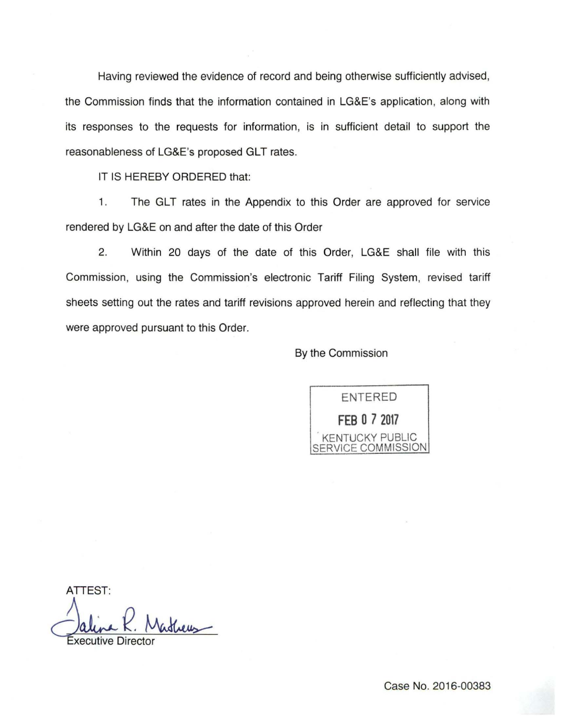Having reviewed the evidence of record and being otherwise sufficiently advised, the Commission finds that the information contained in LG&E's application, along with its responses to the requests for information, is in sufficient detail to support the reasonableness of LG&E's proposed GLT rates.

IT IS HEREBY ORDERED that:

1. The GLT rates in the Appendix to this Order are approved for service rendered by LG&E on and after the date of this Order

2. Within 20 days of the date of this Order, LG&E shall file with this Commission, using the Commission's electronic Tariff Filing System, revised tariff sheets setting out the rates and tariff revisions approved herein and reflecting that they were approved pursuant to this Order.

## By the Commission

ENTERED **FEB 0 7 2017** 

. KENTUCKY PUBLIC **ICE COMMISSION** 

ATTEST: Allina R. Matheus

Case No. 2016-00383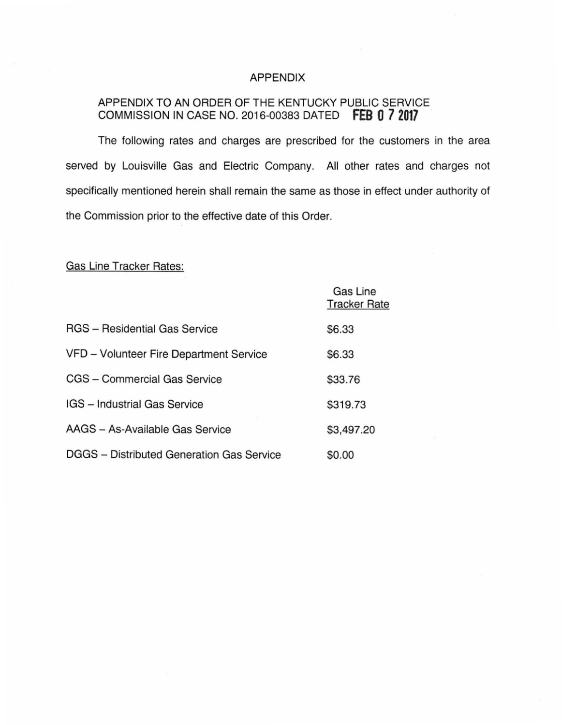### APPENDIX

## APPENDIX TO AN ORDER OF THE KENTUCKY PUBLIC SERVICE COMMISSION IN CASE NO. 2016-00383 DATED **fEB 0** *7* **<sup>2017</sup>**

The following rates and charges are prescribed for the customers in the area served by Louisville Gas and Electric Company. All other rates and charges not specifically mentioned herein shall remain the same as those in effect under authority of the Commission prior to the effective date of this Order.

# Gas Line Tracker Rates:

|                                           | <b>Gas Line</b><br><b>Tracker Rate</b> |
|-------------------------------------------|----------------------------------------|
| <b>RGS</b> - Residential Gas Service      | \$6.33                                 |
| VFD - Volunteer Fire Department Service   | \$6.33                                 |
| CGS - Commercial Gas Service              | \$33.76                                |
| IGS - Industrial Gas Service              | \$319.73                               |
| AAGS - As-Available Gas Service           | \$3,497.20                             |
| DGGS - Distributed Generation Gas Service | \$0.00                                 |